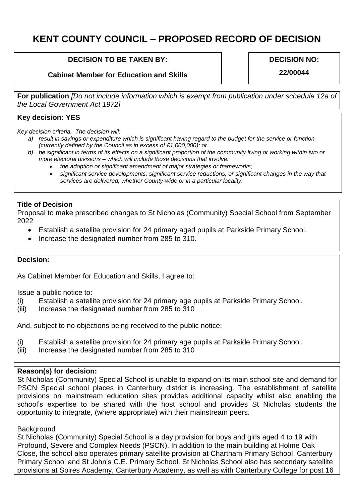# **KENT COUNTY COUNCIL – PROPOSED RECORD OF DECISION**

## **DECISION TO BE TAKEN BY:**

## **Cabinet Member for Education and Skills**

#### **DECISION NO:**

**22/00044**

**For publication** *[Do not include information which is exempt from publication under schedule 12a of the Local Government Act 1972]*

## **Key decision: YES**

*Key decision criteria. The decision will:*

- *a) result in savings or expenditure which is significant having regard to the budget for the service or function (currently defined by the Council as in excess of £1,000,000); or*
- *b) be significant in terms of its effects on a significant proportion of the community living or working within two or more electoral divisions – which will include those decisions that involve:*
	- *the adoption or significant amendment of major strategies or frameworks;*
	- *significant service developments, significant service reductions, or significant changes in the way that services are delivered, whether County-wide or in a particular locality.*

#### **Title of Decision**

Proposal to make prescribed changes to St Nicholas (Community) Special School from September 2022

- Establish a satellite provision for 24 primary aged pupils at Parkside Primary School.
- Increase the designated number from 285 to 310.

## **Decision:**

As Cabinet Member for Education and Skills, I agree to:

Issue a public notice to:

- (i) Establish a satellite provision for 24 primary age pupils at Parkside Primary School.
- (iii) Increase the designated number from 285 to 310

And, subject to no objections being received to the public notice:

- (i) Establish a satellite provision for 24 primary age pupils at Parkside Primary School.
- (iii) Increase the designated number from 285 to 310

#### **Reason(s) for decision:**

St Nicholas (Community) Special School is unable to expand on its main school site and demand for PSCN Special school places in Canterbury district is increasing. The establishment of satellite provisions on mainstream education sites provides additional capacity whilst also enabling the school's expertise to be shared with the host school and provides St Nicholas students the opportunity to integrate, (where appropriate) with their mainstream peers.

## **Background**

St Nicholas (Community) Special School is a day provision for boys and girls aged 4 to 19 with Profound, Severe and Complex Needs (PSCN). In addition to the main building at Holme Oak Close, the school also operates primary satellite provision at Chartham Primary School, Canterbury Primary School and St John's C.E. Primary School. St Nicholas School also has secondary satellite provisions at Spires Academy, Canterbury Academy, as well as with Canterbury College for post 16